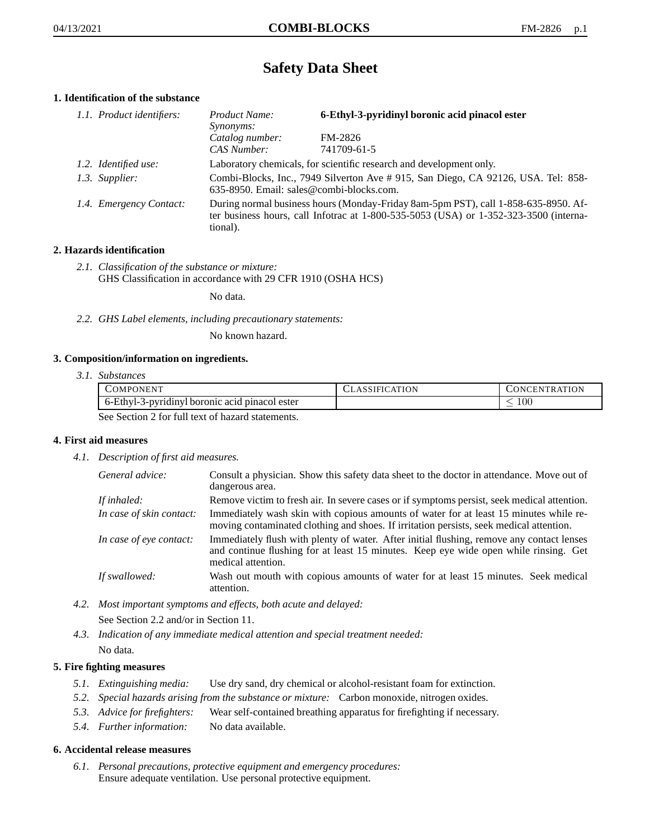# **Safety Data Sheet**

## **1. Identification of the substance**

| 1.1. Product identifiers: | Product Name:                | 6-Ethyl-3-pyridinyl boronic acid pinacol ester                                                                                                                              |  |
|---------------------------|------------------------------|-----------------------------------------------------------------------------------------------------------------------------------------------------------------------------|--|
|                           | Synonyms:<br>Catalog number: | FM-2826                                                                                                                                                                     |  |
|                           | CAS Number:                  | 741709-61-5                                                                                                                                                                 |  |
| 1.2. Identified use:      |                              | Laboratory chemicals, for scientific research and development only.                                                                                                         |  |
| 1.3. Supplier:            |                              | Combi-Blocks, Inc., 7949 Silverton Ave # 915, San Diego, CA 92126, USA. Tel: 858-<br>635-8950. Email: sales@combi-blocks.com.                                               |  |
| 1.4. Emergency Contact:   | tional).                     | During normal business hours (Monday-Friday 8am-5pm PST), call 1-858-635-8950. Af-<br>ter business hours, call Infotrac at 1-800-535-5053 (USA) or 1-352-323-3500 (interna- |  |

## **2. Hazards identification**

*2.1. Classification of the substance or mixture:* GHS Classification in accordance with 29 CFR 1910 (OSHA HCS)

No data.

*2.2. GHS Label elements, including precautionary statements:*

No known hazard.

### **3. Composition/information on ingredients.**

*3.1. Substances*

| COMPONENT                                        | CLASSIFICATION | <b>CONCENTRATION</b> |
|--------------------------------------------------|----------------|----------------------|
| 6-Ethyl-3-pyridinyl boronic acid pinacol ester   |                | 10C                  |
| See Section 2 for full text of hazard statements |                |                      |

See Section 2 for full text of hazard statements.

## **4. First aid measures**

*4.1. Description of first aid measures.*

| General advice:          | Consult a physician. Show this safety data sheet to the doctor in attendance. Move out of<br>dangerous area.                                                                                            |
|--------------------------|---------------------------------------------------------------------------------------------------------------------------------------------------------------------------------------------------------|
| If inhaled:              | Remove victim to fresh air. In severe cases or if symptoms persist, seek medical attention.                                                                                                             |
| In case of skin contact: | Immediately wash skin with copious amounts of water for at least 15 minutes while re-<br>moving contaminated clothing and shoes. If irritation persists, seek medical attention.                        |
| In case of eye contact:  | Immediately flush with plenty of water. After initial flushing, remove any contact lenses<br>and continue flushing for at least 15 minutes. Keep eye wide open while rinsing. Get<br>medical attention. |
| If swallowed:            | Wash out mouth with copious amounts of water for at least 15 minutes. Seek medical<br>attention.                                                                                                        |

*4.2. Most important symptoms and effects, both acute and delayed:*

See Section 2.2 and/or in Section 11.

*4.3. Indication of any immediate medical attention and special treatment needed:* No data.

## **5. Fire fighting measures**

- *5.1. Extinguishing media:* Use dry sand, dry chemical or alcohol-resistant foam for extinction.
- *5.2. Special hazards arising from the substance or mixture:* Carbon monoxide, nitrogen oxides.
- *5.3. Advice for firefighters:* Wear self-contained breathing apparatus for firefighting if necessary.
- *5.4. Further information:* No data available.

### **6. Accidental release measures**

*6.1. Personal precautions, protective equipment and emergency procedures:* Ensure adequate ventilation. Use personal protective equipment.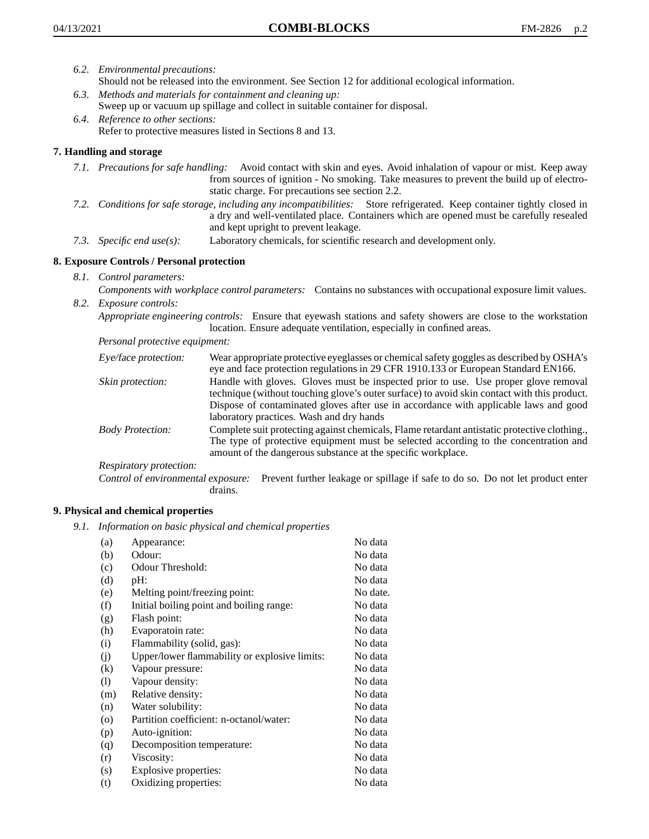- *6.2. Environmental precautions:*
	- Should not be released into the environment. See Section 12 for additional ecological information.
- *6.3. Methods and materials for containment and cleaning up:* Sweep up or vacuum up spillage and collect in suitable container for disposal.
- *6.4. Reference to other sections:* Refer to protective measures listed in Sections 8 and 13.

# **7. Handling and storage**

- *7.1. Precautions for safe handling:* Avoid contact with skin and eyes. Avoid inhalation of vapour or mist. Keep away from sources of ignition - No smoking. Take measures to prevent the build up of electrostatic charge. For precautions see section 2.2.
- *7.2. Conditions for safe storage, including any incompatibilities:* Store refrigerated. Keep container tightly closed in a dry and well-ventilated place. Containers which are opened must be carefully resealed and kept upright to prevent leakage.
- *7.3. Specific end use(s):* Laboratory chemicals, for scientific research and development only.

## **8. Exposure Controls / Personal protection**

*8.1. Control parameters:*

*Components with workplace control parameters:* Contains no substances with occupational exposure limit values. *8.2. Exposure controls:*

*Appropriate engineering controls:* Ensure that eyewash stations and safety showers are close to the workstation location. Ensure adequate ventilation, especially in confined areas.

*Personal protective equipment:*

| Eye/face protection:    | Wear appropriate protective eyeglasses or chemical safety goggles as described by OSHA's<br>eye and face protection regulations in 29 CFR 1910.133 or European Standard EN166.                                                                                                                                         |
|-------------------------|------------------------------------------------------------------------------------------------------------------------------------------------------------------------------------------------------------------------------------------------------------------------------------------------------------------------|
| Skin protection:        | Handle with gloves. Gloves must be inspected prior to use. Use proper glove removal<br>technique (without touching glove's outer surface) to avoid skin contact with this product.<br>Dispose of contaminated gloves after use in accordance with applicable laws and good<br>laboratory practices. Wash and dry hands |
| <b>Body Protection:</b> | Complete suit protecting against chemicals, Flame retardant antistatic protective clothing.,<br>The type of protective equipment must be selected according to the concentration and<br>amount of the dangerous substance at the specific workplace.                                                                   |
| Respiratory protection: |                                                                                                                                                                                                                                                                                                                        |

Control of environmental exposure: Prevent further leakage or spillage if safe to do so. Do not let product enter drains.

### **9. Physical and chemical properties**

*9.1. Information on basic physical and chemical properties*

| (a)                          | Appearance:                                   | No data  |
|------------------------------|-----------------------------------------------|----------|
| (b)                          | Odour:                                        | No data  |
| (c)                          | Odour Threshold:                              | No data  |
| (d)                          | pH:                                           | No data  |
| (e)                          | Melting point/freezing point:                 | No date. |
| (f)                          | Initial boiling point and boiling range:      | No data  |
| (g)                          | Flash point:                                  | No data  |
| (h)                          | Evaporatoin rate:                             | No data  |
| (i)                          | Flammability (solid, gas):                    | No data  |
| (j)                          | Upper/lower flammability or explosive limits: | No data  |
| (k)                          | Vapour pressure:                              | No data  |
| $\left( \frac{1}{2} \right)$ | Vapour density:                               | No data  |
| (m)                          | Relative density:                             | No data  |
| (n)                          | Water solubility:                             | No data  |
| $\circ$                      | Partition coefficient: n-octanol/water:       | No data  |
| (p)                          | Auto-ignition:                                | No data  |
| (q)                          | Decomposition temperature:                    | No data  |
| (r)                          | Viscosity:                                    | No data  |
| (s)                          | Explosive properties:                         | No data  |
| (t)                          | Oxidizing properties:                         | No data  |